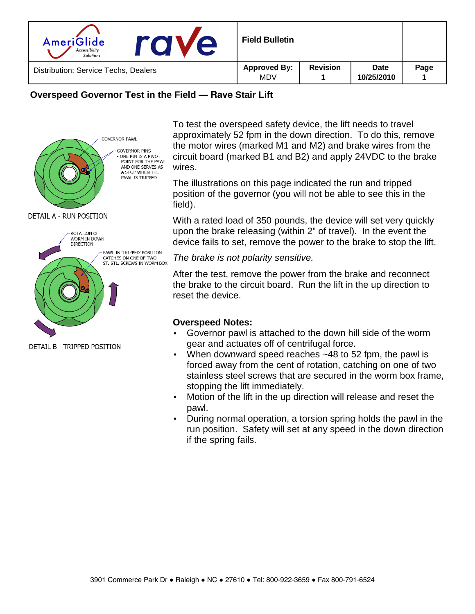| AmeriGlide<br>e<br>Accessibility<br>Solutions | <b>Field Bulletin</b>             |                 |                    |      |
|-----------------------------------------------|-----------------------------------|-----------------|--------------------|------|
| Distribution: Service Techs, Dealers          | <b>Approved By:</b><br><b>MDV</b> | <b>Revision</b> | Date<br>10/25/2010 | Page |

## **Overspeed Governor Test in the Field — Rave Stair Lift**



DETAIL B - TRIPPED POSITION

To test the overspeed safety device, the lift needs to travel approximately 52 fpm in the down direction. To do this, remove the motor wires (marked M1 and M2) and brake wires from the circuit board (marked B1 and B2) and apply 24VDC to the brake wires.

The illustrations on this page indicated the run and tripped position of the governor (you will not be able to see this in the field).

With a rated load of 350 pounds, the device will set very quickly upon the brake releasing (within 2" of travel). In the event the device fails to set, remove the power to the brake to stop the lift.

The brake is not polarity sensitive.

After the test, remove the power from the brake and reconnect the brake to the circuit board. Run the lift in the up direction to reset the device.

## **Overspeed Notes:**

- Governor pawl is attached to the down hill side of the worm gear and actuates off of centrifugal force.
- When downward speed reaches ~48 to 52 fpm, the pawl is forced away from the cent of rotation, catching on one of two stainless steel screws that are secured in the worm box frame, stopping the lift immediately.
- Motion of the lift in the up direction will release and reset the pawl.
- During normal operation, a torsion spring holds the pawl in the run position. Safety will set at any speed in the down direction if the spring fails.